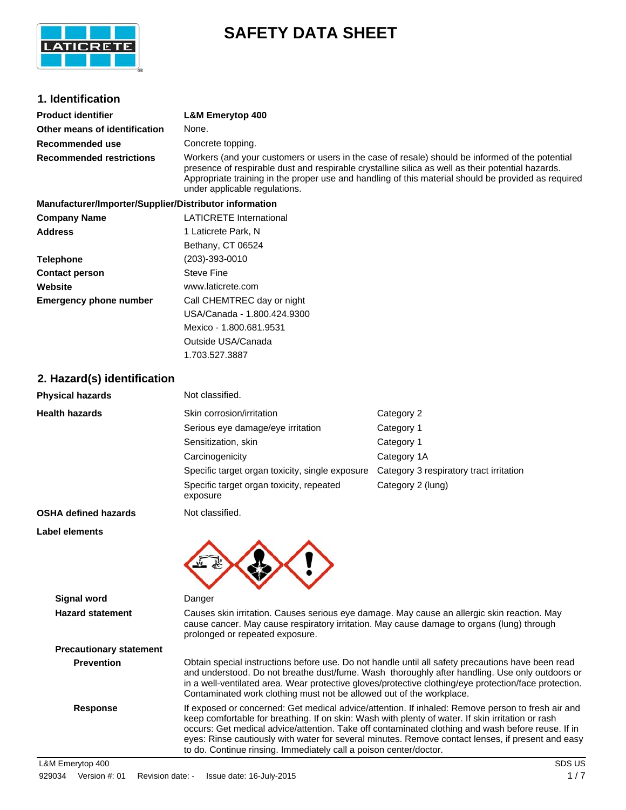

# **SAFETY DATA SHEET**

| 1. Identification                                      |                                                                                                                                                                                                                                                                                                                                                                                                                                                                                       |                                         |  |
|--------------------------------------------------------|---------------------------------------------------------------------------------------------------------------------------------------------------------------------------------------------------------------------------------------------------------------------------------------------------------------------------------------------------------------------------------------------------------------------------------------------------------------------------------------|-----------------------------------------|--|
|                                                        |                                                                                                                                                                                                                                                                                                                                                                                                                                                                                       |                                         |  |
| <b>Product identifier</b>                              | <b>L&amp;M Emerytop 400</b>                                                                                                                                                                                                                                                                                                                                                                                                                                                           |                                         |  |
| Other means of identification                          | None.                                                                                                                                                                                                                                                                                                                                                                                                                                                                                 |                                         |  |
| Recommended use                                        | Concrete topping.                                                                                                                                                                                                                                                                                                                                                                                                                                                                     |                                         |  |
| <b>Recommended restrictions</b>                        | Workers (and your customers or users in the case of resale) should be informed of the potential<br>presence of respirable dust and respirable crystalline silica as well as their potential hazards.<br>Appropriate training in the proper use and handling of this material should be provided as required<br>under applicable regulations.                                                                                                                                          |                                         |  |
| Manufacturer/Importer/Supplier/Distributor information |                                                                                                                                                                                                                                                                                                                                                                                                                                                                                       |                                         |  |
| <b>Company Name</b>                                    | <b>LATICRETE</b> International                                                                                                                                                                                                                                                                                                                                                                                                                                                        |                                         |  |
| <b>Address</b>                                         | 1 Laticrete Park, N                                                                                                                                                                                                                                                                                                                                                                                                                                                                   |                                         |  |
|                                                        | Bethany, CT 06524                                                                                                                                                                                                                                                                                                                                                                                                                                                                     |                                         |  |
| <b>Telephone</b>                                       | $(203) - 393 - 0010$                                                                                                                                                                                                                                                                                                                                                                                                                                                                  |                                         |  |
| <b>Contact person</b>                                  | <b>Steve Fine</b>                                                                                                                                                                                                                                                                                                                                                                                                                                                                     |                                         |  |
| Website                                                | www.laticrete.com                                                                                                                                                                                                                                                                                                                                                                                                                                                                     |                                         |  |
| <b>Emergency phone number</b>                          | Call CHEMTREC day or night                                                                                                                                                                                                                                                                                                                                                                                                                                                            |                                         |  |
|                                                        | USA/Canada - 1.800.424.9300                                                                                                                                                                                                                                                                                                                                                                                                                                                           |                                         |  |
|                                                        | Mexico - 1.800.681.9531                                                                                                                                                                                                                                                                                                                                                                                                                                                               |                                         |  |
|                                                        | Outside USA/Canada                                                                                                                                                                                                                                                                                                                                                                                                                                                                    |                                         |  |
|                                                        | 1.703.527.3887                                                                                                                                                                                                                                                                                                                                                                                                                                                                        |                                         |  |
| 2. Hazard(s) identification                            |                                                                                                                                                                                                                                                                                                                                                                                                                                                                                       |                                         |  |
| <b>Physical hazards</b>                                | Not classified.                                                                                                                                                                                                                                                                                                                                                                                                                                                                       |                                         |  |
| <b>Health hazards</b>                                  | Skin corrosion/irritation                                                                                                                                                                                                                                                                                                                                                                                                                                                             | Category 2                              |  |
|                                                        | Serious eye damage/eye irritation                                                                                                                                                                                                                                                                                                                                                                                                                                                     | Category 1                              |  |
|                                                        | Sensitization, skin                                                                                                                                                                                                                                                                                                                                                                                                                                                                   | Category 1                              |  |
|                                                        | Carcinogenicity                                                                                                                                                                                                                                                                                                                                                                                                                                                                       | Category 1A                             |  |
|                                                        | Specific target organ toxicity, single exposure                                                                                                                                                                                                                                                                                                                                                                                                                                       | Category 3 respiratory tract irritation |  |
|                                                        | Specific target organ toxicity, repeated<br>exposure                                                                                                                                                                                                                                                                                                                                                                                                                                  | Category 2 (lung)                       |  |
| <b>OSHA defined hazards</b>                            | Not classified.                                                                                                                                                                                                                                                                                                                                                                                                                                                                       |                                         |  |
| Label elements                                         |                                                                                                                                                                                                                                                                                                                                                                                                                                                                                       |                                         |  |
|                                                        | $\mathbf{A}$ and $\mathbf{A}$<br>◚                                                                                                                                                                                                                                                                                                                                                                                                                                                    |                                         |  |
| <b>Signal word</b>                                     | Danger                                                                                                                                                                                                                                                                                                                                                                                                                                                                                |                                         |  |
| <b>Hazard statement</b>                                | Causes skin irritation. Causes serious eye damage. May cause an allergic skin reaction. May<br>cause cancer. May cause respiratory irritation. May cause damage to organs (lung) through<br>prolonged or repeated exposure.                                                                                                                                                                                                                                                           |                                         |  |
| <b>Precautionary statement</b>                         |                                                                                                                                                                                                                                                                                                                                                                                                                                                                                       |                                         |  |
| <b>Prevention</b>                                      | Obtain special instructions before use. Do not handle until all safety precautions have been read<br>and understood. Do not breathe dust/fume. Wash thoroughly after handling. Use only outdoors or<br>in a well-ventilated area. Wear protective gloves/protective clothing/eye protection/face protection.<br>Contaminated work clothing must not be allowed out of the workplace.                                                                                                  |                                         |  |
| <b>Response</b>                                        | If exposed or concerned: Get medical advice/attention. If inhaled: Remove person to fresh air and<br>keep comfortable for breathing. If on skin: Wash with plenty of water. If skin irritation or rash<br>occurs: Get medical advice/attention. Take off contaminated clothing and wash before reuse. If in<br>eyes: Rinse cautiously with water for several minutes. Remove contact lenses, if present and easy<br>to do. Continue rinsing. Immediately call a poison center/doctor. |                                         |  |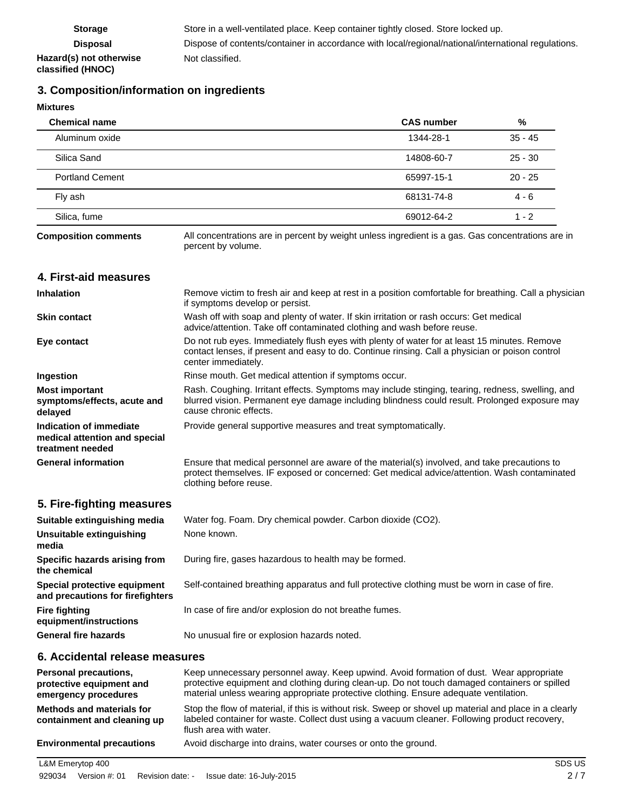# **3. Composition/information on ingredients**

**Mixtures**

| <b>Chemical name</b>   | <b>CAS number</b> | %         |
|------------------------|-------------------|-----------|
| Aluminum oxide         | 1344-28-1         | $35 - 45$ |
| Silica Sand            | 14808-60-7        | $25 - 30$ |
| <b>Portland Cement</b> | 65997-15-1        | $20 - 25$ |
| Fly ash                | 68131-74-8        | $4 - 6$   |
| Silica, fume           | 69012-64-2        | $1 - 2$   |

**Composition comments**

All concentrations are in percent by weight unless ingredient is a gas. Gas concentrations are in percent by volume.

# **4. First-aid measures**

| <b>Inhalation</b>                                                            | Remove victim to fresh air and keep at rest in a position comfortable for breathing. Call a physician<br>if symptoms develop or persist.                                                                                    |
|------------------------------------------------------------------------------|-----------------------------------------------------------------------------------------------------------------------------------------------------------------------------------------------------------------------------|
| <b>Skin contact</b>                                                          | Wash off with soap and plenty of water. If skin irritation or rash occurs: Get medical<br>advice/attention. Take off contaminated clothing and wash before reuse.                                                           |
| Eye contact                                                                  | Do not rub eyes. Immediately flush eyes with plenty of water for at least 15 minutes. Remove<br>contact lenses, if present and easy to do. Continue rinsing. Call a physician or poison control<br>center immediately.      |
| Ingestion                                                                    | Rinse mouth. Get medical attention if symptoms occur.                                                                                                                                                                       |
| <b>Most important</b><br>symptoms/effects, acute and<br>delayed              | Rash. Coughing. Irritant effects. Symptoms may include stinging, tearing, redness, swelling, and<br>blurred vision. Permanent eye damage including blindness could result. Prolonged exposure may<br>cause chronic effects. |
| Indication of immediate<br>medical attention and special<br>treatment needed | Provide general supportive measures and treat symptomatically.                                                                                                                                                              |
| <b>General information</b>                                                   | Ensure that medical personnel are aware of the material(s) involved, and take precautions to<br>protect themselves. IF exposed or concerned: Get medical advice/attention. Wash contaminated<br>clothing before reuse.      |

# **5. Fire-fighting measures**

| Suitable extinguishing media                                     | Water fog. Foam. Dry chemical powder. Carbon dioxide (CO2).                                   |
|------------------------------------------------------------------|-----------------------------------------------------------------------------------------------|
| Unsuitable extinguishing<br>media                                | None known.                                                                                   |
| Specific hazards arising from<br>the chemical                    | During fire, gases hazardous to health may be formed.                                         |
| Special protective equipment<br>and precautions for firefighters | Self-contained breathing apparatus and full protective clothing must be worn in case of fire. |
| <b>Fire fighting</b><br>equipment/instructions                   | In case of fire and/or explosion do not breathe fumes.                                        |
| <b>General fire hazards</b>                                      | No unusual fire or explosion hazards noted.                                                   |

### **6. Accidental release measures**

| <b>Personal precautions,</b><br>protective equipment and<br>emergency procedures | Keep unnecessary personnel away. Keep upwind. Avoid formation of dust. Wear appropriate<br>protective equipment and clothing during clean-up. Do not touch damaged containers or spilled<br>material unless wearing appropriate protective clothing. Ensure adequate ventilation. |
|----------------------------------------------------------------------------------|-----------------------------------------------------------------------------------------------------------------------------------------------------------------------------------------------------------------------------------------------------------------------------------|
| Methods and materials for<br>containment and cleaning up                         | Stop the flow of material, if this is without risk. Sweep or shovel up material and place in a clearly<br>labeled container for waste. Collect dust using a vacuum cleaner. Following product recovery,<br>flush area with water.                                                 |
| <b>Environmental precautions</b>                                                 | Avoid discharge into drains, water courses or onto the ground.                                                                                                                                                                                                                    |

L&M Emerytop 400 SDS US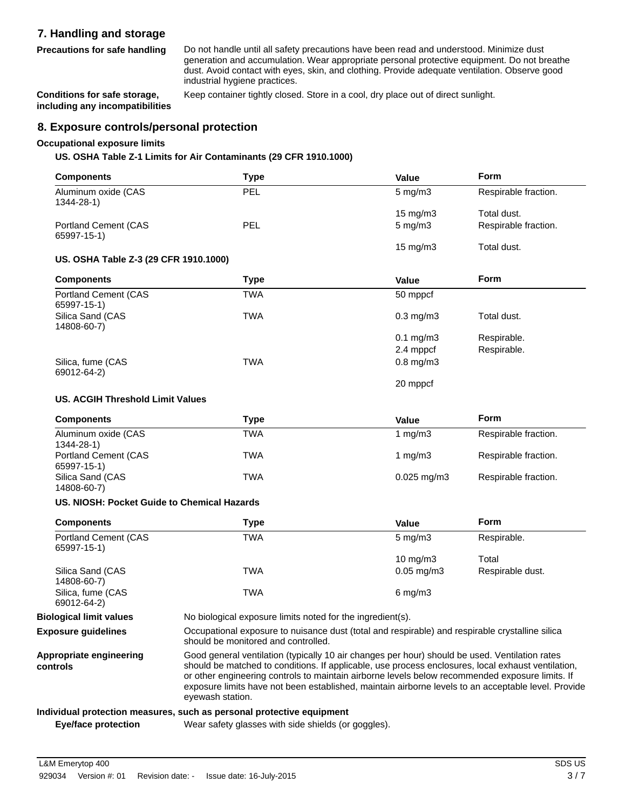# **7. Handling and storage**

**Precautions for safe handling**

Do not handle until all safety precautions have been read and understood. Minimize dust generation and accumulation. Wear appropriate personal protective equipment. Do not breathe dust. Avoid contact with eyes, skin, and clothing. Provide adequate ventilation. Observe good industrial hygiene practices.

**Conditions for safe storage,** Keep container tightly closed. Store in a cool, dry place out of direct sunlight. **including any incompatibilities**

# **8. Exposure controls/personal protection**

### **Occupational exposure limits**

### **US. OSHA Table Z-1 Limits for Air Contaminants (29 CFR 1910.1000)**

| <b>Components</b>                                                        | <b>Type</b> | Value             | <b>Form</b>          |
|--------------------------------------------------------------------------|-------------|-------------------|----------------------|
| Aluminum oxide (CAS<br>1344-28-1)                                        | PEL         | $5$ mg/m $3$      | Respirable fraction. |
|                                                                          |             | $15 \text{ mg/m}$ | Total dust.          |
| <b>Portland Cement (CAS</b>                                              | PEL         | $5$ mg/m $3$      | Respirable fraction. |
| 65997-15-1)                                                              |             |                   |                      |
|                                                                          |             | 15 mg/m3          | Total dust.          |
| US. OSHA Table Z-3 (29 CFR 1910.1000)                                    |             |                   |                      |
| <b>Components</b>                                                        | <b>Type</b> | <b>Value</b>      | <b>Form</b>          |
| <b>Portland Cement (CAS</b><br>65997-15-1)                               | <b>TWA</b>  | 50 mppcf          |                      |
| Silica Sand (CAS<br>14808-60-7)                                          | <b>TWA</b>  | $0.3$ mg/m $3$    | Total dust.          |
|                                                                          |             | $0.1$ mg/m $3$    | Respirable.          |
|                                                                          |             | 2.4 mppcf         | Respirable.          |
| Silica, fume (CAS<br>69012-64-2)                                         | <b>TWA</b>  | $0.8$ mg/m $3$    |                      |
|                                                                          |             | 20 mppcf          |                      |
| <b>US. ACGIH Threshold Limit Values</b>                                  |             |                   |                      |
| <b>Components</b>                                                        | <b>Type</b> | Value             | <b>Form</b>          |
| Aluminum oxide (CAS<br>1344-28-1)                                        | <b>TWA</b>  | 1 $mg/m3$         | Respirable fraction. |
| <b>Portland Cement (CAS</b><br>65997-15-1)                               | <b>TWA</b>  | 1 $mg/m3$         | Respirable fraction. |
| Silica Sand (CAS<br>14808-60-7)                                          | <b>TWA</b>  | $0.025$ mg/m3     | Respirable fraction. |
| US. NIOSH: Pocket Guide to Chemical Hazards                              |             |                   |                      |
| <b>Components</b>                                                        | <b>Type</b> | Value             | Form                 |
| <b>Portland Cement (CAS</b><br>$C$ $C$ $D$ $D$ $T$ $A$ $T$ $A$ $\lambda$ | <b>TWA</b>  | $5$ mg/m $3$      | Respirable.          |

| <b>Portland Cement (CAS</b><br>65997-15-1) | TWA                                                                                             | $5 \text{ mg/m}$   | Respirable.      |
|--------------------------------------------|-------------------------------------------------------------------------------------------------|--------------------|------------------|
|                                            |                                                                                                 | $10 \text{ mg/m}$  | Total            |
| Silica Sand (CAS<br>14808-60-7)            | TWA                                                                                             | $0.05$ mg/m $3$    | Respirable dust. |
| Silica, fume (CAS<br>69012-64-2)           | TWA                                                                                             | $6 \text{ mg/m}$ 3 |                  |
| <b>Biological limit values</b>             | No biological exposure limits noted for the ingredient(s).                                      |                    |                  |
| <b>Exposure quidelines</b>                 | Occupational exposure to nuisance dust (total and respirable) and respirable crystalline silica |                    |                  |

should be monitored and controlled.

Good general ventilation (typically 10 air changes per hour) should be used. Ventilation rates should be matched to conditions. If applicable, use process enclosures, local exhaust ventilation, or other engineering controls to maintain airborne levels below recommended exposure limits. If exposure limits have not been established, maintain airborne levels to an acceptable level. Provide eyewash station. **Appropriate engineering controls**

#### **Individual protection measures, such as personal protective equipment**

**Eye/face protection** Wear safety glasses with side shields (or goggles).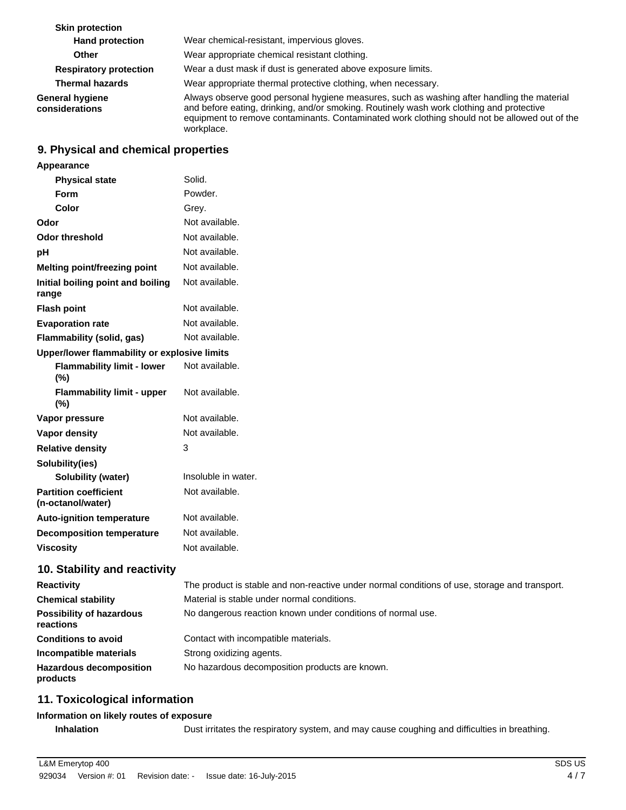| <b>Skin protection</b>            |                                                                                                                                                                                                                                                                                                       |
|-----------------------------------|-------------------------------------------------------------------------------------------------------------------------------------------------------------------------------------------------------------------------------------------------------------------------------------------------------|
| <b>Hand protection</b>            | Wear chemical-resistant, impervious gloves.                                                                                                                                                                                                                                                           |
| <b>Other</b>                      | Wear appropriate chemical resistant clothing.                                                                                                                                                                                                                                                         |
| <b>Respiratory protection</b>     | Wear a dust mask if dust is generated above exposure limits.                                                                                                                                                                                                                                          |
| <b>Thermal hazards</b>            | Wear appropriate thermal protective clothing, when necessary.                                                                                                                                                                                                                                         |
| General hygiene<br>considerations | Always observe good personal hygiene measures, such as washing after handling the material<br>and before eating, drinking, and/or smoking. Routinely wash work clothing and protective<br>equipment to remove contaminants. Contaminated work clothing should not be allowed out of the<br>workplace. |

# **9. Physical and chemical properties**

| Appearance                                        |                                                                                               |
|---------------------------------------------------|-----------------------------------------------------------------------------------------------|
| <b>Physical state</b>                             | Solid.                                                                                        |
| <b>Form</b>                                       | Powder.                                                                                       |
| Color                                             | Grey.                                                                                         |
| Odor                                              | Not available.                                                                                |
| <b>Odor threshold</b>                             | Not available.                                                                                |
| рH                                                | Not available.                                                                                |
| Melting point/freezing point                      | Not available.                                                                                |
| Initial boiling point and boiling<br>range        | Not available.                                                                                |
| <b>Flash point</b>                                | Not available.                                                                                |
| <b>Evaporation rate</b>                           | Not available.                                                                                |
| Flammability (solid, gas)                         | Not available.                                                                                |
| Upper/lower flammability or explosive limits      |                                                                                               |
| <b>Flammability limit - lower</b><br>(%)          | Not available.                                                                                |
| <b>Flammability limit - upper</b><br>(%)          | Not available.                                                                                |
| Vapor pressure                                    | Not available.                                                                                |
| Vapor density                                     | Not available.                                                                                |
| <b>Relative density</b>                           | 3                                                                                             |
| Solubility(ies)                                   |                                                                                               |
| Solubility (water)                                | Insoluble in water.                                                                           |
| <b>Partition coefficient</b><br>(n-octanol/water) | Not available.                                                                                |
| <b>Auto-ignition temperature</b>                  | Not available.                                                                                |
| <b>Decomposition temperature</b>                  | Not available.                                                                                |
| <b>Viscosity</b>                                  | Not available.                                                                                |
| 10. Stability and reactivity                      |                                                                                               |
| <b>Reactivity</b>                                 | The product is stable and non-reactive under normal conditions of use, storage and transport. |
| <b>Chemical stability</b>                         | Material is stable under normal conditions.                                                   |
| <b>Possibility of hazardous</b><br>reactions      | No dangerous reaction known under conditions of normal use.                                   |
| <b>Conditions to avoid</b>                        | Contact with incompatible materials.                                                          |
| Incompatible materials                            | Strong oxidizing agents.                                                                      |
| <b>Hazardous decomposition</b><br>products        | No hazardous decomposition products are known.                                                |

# **11. Toxicological information**

### **Information on likely routes of exposure**

**Inhalation** Dust irritates the respiratory system, and may cause coughing and difficulties in breathing.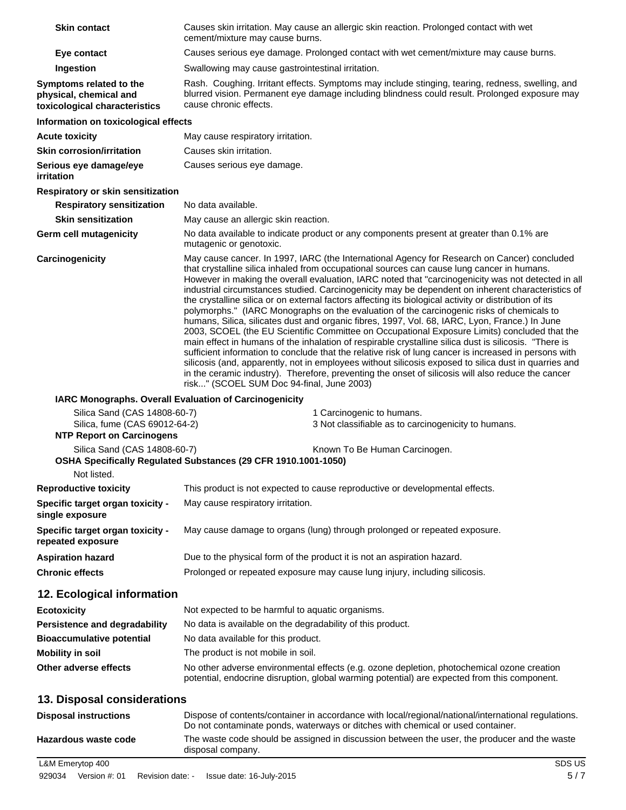| <b>Skin contact</b>                                                                               | Causes skin irritation. May cause an allergic skin reaction. Prolonged contact with wet<br>cement/mixture may cause burns.                                                                                                                                                                                                                                                                                                                                                                                                                                                                                                                                                                                                                                                                                                                                                                                                                                                                                                                                                                                                                                                                                                                                                                  |  |  |
|---------------------------------------------------------------------------------------------------|---------------------------------------------------------------------------------------------------------------------------------------------------------------------------------------------------------------------------------------------------------------------------------------------------------------------------------------------------------------------------------------------------------------------------------------------------------------------------------------------------------------------------------------------------------------------------------------------------------------------------------------------------------------------------------------------------------------------------------------------------------------------------------------------------------------------------------------------------------------------------------------------------------------------------------------------------------------------------------------------------------------------------------------------------------------------------------------------------------------------------------------------------------------------------------------------------------------------------------------------------------------------------------------------|--|--|
| Eye contact                                                                                       | Causes serious eye damage. Prolonged contact with wet cement/mixture may cause burns.                                                                                                                                                                                                                                                                                                                                                                                                                                                                                                                                                                                                                                                                                                                                                                                                                                                                                                                                                                                                                                                                                                                                                                                                       |  |  |
| Ingestion                                                                                         | Swallowing may cause gastrointestinal irritation.                                                                                                                                                                                                                                                                                                                                                                                                                                                                                                                                                                                                                                                                                                                                                                                                                                                                                                                                                                                                                                                                                                                                                                                                                                           |  |  |
| Symptoms related to the<br>physical, chemical and<br>toxicological characteristics                | Rash. Coughing. Irritant effects. Symptoms may include stinging, tearing, redness, swelling, and<br>blurred vision. Permanent eye damage including blindness could result. Prolonged exposure may<br>cause chronic effects.                                                                                                                                                                                                                                                                                                                                                                                                                                                                                                                                                                                                                                                                                                                                                                                                                                                                                                                                                                                                                                                                 |  |  |
| Information on toxicological effects                                                              |                                                                                                                                                                                                                                                                                                                                                                                                                                                                                                                                                                                                                                                                                                                                                                                                                                                                                                                                                                                                                                                                                                                                                                                                                                                                                             |  |  |
| <b>Acute toxicity</b>                                                                             | May cause respiratory irritation.                                                                                                                                                                                                                                                                                                                                                                                                                                                                                                                                                                                                                                                                                                                                                                                                                                                                                                                                                                                                                                                                                                                                                                                                                                                           |  |  |
| <b>Skin corrosion/irritation</b>                                                                  | Causes skin irritation.                                                                                                                                                                                                                                                                                                                                                                                                                                                                                                                                                                                                                                                                                                                                                                                                                                                                                                                                                                                                                                                                                                                                                                                                                                                                     |  |  |
| Serious eye damage/eye<br>irritation                                                              | Causes serious eye damage.                                                                                                                                                                                                                                                                                                                                                                                                                                                                                                                                                                                                                                                                                                                                                                                                                                                                                                                                                                                                                                                                                                                                                                                                                                                                  |  |  |
| Respiratory or skin sensitization                                                                 |                                                                                                                                                                                                                                                                                                                                                                                                                                                                                                                                                                                                                                                                                                                                                                                                                                                                                                                                                                                                                                                                                                                                                                                                                                                                                             |  |  |
| <b>Respiratory sensitization</b>                                                                  | No data available.                                                                                                                                                                                                                                                                                                                                                                                                                                                                                                                                                                                                                                                                                                                                                                                                                                                                                                                                                                                                                                                                                                                                                                                                                                                                          |  |  |
| <b>Skin sensitization</b>                                                                         | May cause an allergic skin reaction.                                                                                                                                                                                                                                                                                                                                                                                                                                                                                                                                                                                                                                                                                                                                                                                                                                                                                                                                                                                                                                                                                                                                                                                                                                                        |  |  |
| <b>Germ cell mutagenicity</b>                                                                     | No data available to indicate product or any components present at greater than 0.1% are<br>mutagenic or genotoxic.                                                                                                                                                                                                                                                                                                                                                                                                                                                                                                                                                                                                                                                                                                                                                                                                                                                                                                                                                                                                                                                                                                                                                                         |  |  |
| Carcinogenicity                                                                                   | May cause cancer. In 1997, IARC (the International Agency for Research on Cancer) concluded<br>that crystalline silica inhaled from occupational sources can cause lung cancer in humans.<br>However in making the overall evaluation, IARC noted that "carcinogenicity was not detected in all<br>industrial circumstances studied. Carcinogenicity may be dependent on inherent characteristics of<br>the crystalline silica or on external factors affecting its biological activity or distribution of its<br>polymorphs." (IARC Monographs on the evaluation of the carcinogenic risks of chemicals to<br>humans, Silica, silicates dust and organic fibres, 1997, Vol. 68, IARC, Lyon, France.) In June<br>2003, SCOEL (the EU Scientific Committee on Occupational Exposure Limits) concluded that the<br>main effect in humans of the inhalation of respirable crystalline silica dust is silicosis. "There is<br>sufficient information to conclude that the relative risk of lung cancer is increased in persons with<br>silicosis (and, apparently, not in employees without silicosis exposed to silica dust in quarries and<br>in the ceramic industry). Therefore, preventing the onset of silicosis will also reduce the cancer<br>risk" (SCOEL SUM Doc 94-final, June 2003) |  |  |
| IARC Monographs. Overall Evaluation of Carcinogenicity                                            |                                                                                                                                                                                                                                                                                                                                                                                                                                                                                                                                                                                                                                                                                                                                                                                                                                                                                                                                                                                                                                                                                                                                                                                                                                                                                             |  |  |
| Silica Sand (CAS 14808-60-7)<br>Silica, fume (CAS 69012-64-2)<br><b>NTP Report on Carcinogens</b> | 1 Carcinogenic to humans.<br>3 Not classifiable as to carcinogenicity to humans.                                                                                                                                                                                                                                                                                                                                                                                                                                                                                                                                                                                                                                                                                                                                                                                                                                                                                                                                                                                                                                                                                                                                                                                                            |  |  |
| Silica Sand (CAS 14808-60-7)                                                                      | Known To Be Human Carcinogen.                                                                                                                                                                                                                                                                                                                                                                                                                                                                                                                                                                                                                                                                                                                                                                                                                                                                                                                                                                                                                                                                                                                                                                                                                                                               |  |  |
| Not listed.                                                                                       | OSHA Specifically Regulated Substances (29 CFR 1910.1001-1050)                                                                                                                                                                                                                                                                                                                                                                                                                                                                                                                                                                                                                                                                                                                                                                                                                                                                                                                                                                                                                                                                                                                                                                                                                              |  |  |
| <b>Reproductive toxicity</b>                                                                      | This product is not expected to cause reproductive or developmental effects.                                                                                                                                                                                                                                                                                                                                                                                                                                                                                                                                                                                                                                                                                                                                                                                                                                                                                                                                                                                                                                                                                                                                                                                                                |  |  |
| Specific target organ toxicity -<br>single exposure                                               | May cause respiratory irritation.                                                                                                                                                                                                                                                                                                                                                                                                                                                                                                                                                                                                                                                                                                                                                                                                                                                                                                                                                                                                                                                                                                                                                                                                                                                           |  |  |
| Specific target organ toxicity -<br>repeated exposure                                             | May cause damage to organs (lung) through prolonged or repeated exposure.                                                                                                                                                                                                                                                                                                                                                                                                                                                                                                                                                                                                                                                                                                                                                                                                                                                                                                                                                                                                                                                                                                                                                                                                                   |  |  |
| <b>Aspiration hazard</b>                                                                          | Due to the physical form of the product it is not an aspiration hazard.                                                                                                                                                                                                                                                                                                                                                                                                                                                                                                                                                                                                                                                                                                                                                                                                                                                                                                                                                                                                                                                                                                                                                                                                                     |  |  |
| <b>Chronic effects</b>                                                                            | Prolonged or repeated exposure may cause lung injury, including silicosis.                                                                                                                                                                                                                                                                                                                                                                                                                                                                                                                                                                                                                                                                                                                                                                                                                                                                                                                                                                                                                                                                                                                                                                                                                  |  |  |
| 12. Ecological information                                                                        |                                                                                                                                                                                                                                                                                                                                                                                                                                                                                                                                                                                                                                                                                                                                                                                                                                                                                                                                                                                                                                                                                                                                                                                                                                                                                             |  |  |
| <b>Ecotoxicity</b>                                                                                | Not expected to be harmful to aquatic organisms.                                                                                                                                                                                                                                                                                                                                                                                                                                                                                                                                                                                                                                                                                                                                                                                                                                                                                                                                                                                                                                                                                                                                                                                                                                            |  |  |
| Persistence and degradability                                                                     | No data is available on the degradability of this product.                                                                                                                                                                                                                                                                                                                                                                                                                                                                                                                                                                                                                                                                                                                                                                                                                                                                                                                                                                                                                                                                                                                                                                                                                                  |  |  |
| <b>Bioaccumulative potential</b>                                                                  | No data available for this product.                                                                                                                                                                                                                                                                                                                                                                                                                                                                                                                                                                                                                                                                                                                                                                                                                                                                                                                                                                                                                                                                                                                                                                                                                                                         |  |  |
| <b>Mobility in soil</b>                                                                           | The product is not mobile in soil.                                                                                                                                                                                                                                                                                                                                                                                                                                                                                                                                                                                                                                                                                                                                                                                                                                                                                                                                                                                                                                                                                                                                                                                                                                                          |  |  |
| Other adverse effects                                                                             | No other adverse environmental effects (e.g. ozone depletion, photochemical ozone creation<br>potential, endocrine disruption, global warming potential) are expected from this component.                                                                                                                                                                                                                                                                                                                                                                                                                                                                                                                                                                                                                                                                                                                                                                                                                                                                                                                                                                                                                                                                                                  |  |  |
| 13. Disposal considerations                                                                       |                                                                                                                                                                                                                                                                                                                                                                                                                                                                                                                                                                                                                                                                                                                                                                                                                                                                                                                                                                                                                                                                                                                                                                                                                                                                                             |  |  |
| <b>Disposal instructions</b>                                                                      | Dispose of contents/container in accordance with local/regional/national/international regulations.<br>Do not contaminate ponds, waterways or ditches with chemical or used container.                                                                                                                                                                                                                                                                                                                                                                                                                                                                                                                                                                                                                                                                                                                                                                                                                                                                                                                                                                                                                                                                                                      |  |  |
| Hazardous waste code                                                                              | The waste code should be assigned in discussion between the user, the producer and the waste                                                                                                                                                                                                                                                                                                                                                                                                                                                                                                                                                                                                                                                                                                                                                                                                                                                                                                                                                                                                                                                                                                                                                                                                |  |  |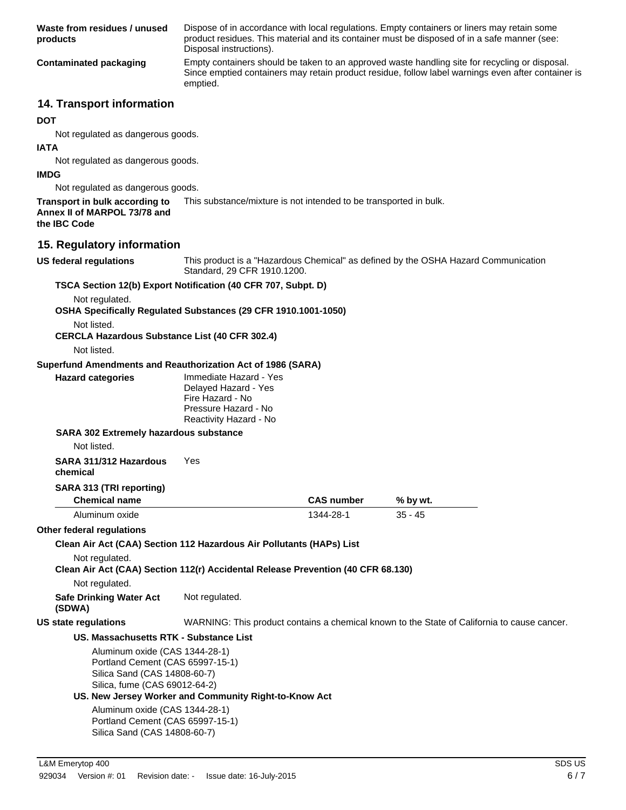| Waste from residues / unused<br>products                                                           | Dispose of in accordance with local regulations. Empty containers or liners may retain some<br>product residues. This material and its container must be disposed of in a safe manner (see:<br>Disposal instructions). |                   |                                                                                             |
|----------------------------------------------------------------------------------------------------|------------------------------------------------------------------------------------------------------------------------------------------------------------------------------------------------------------------------|-------------------|---------------------------------------------------------------------------------------------|
| <b>Contaminated packaging</b>                                                                      | Empty containers should be taken to an approved waste handling site for recycling or disposal.<br>Since emptied containers may retain product residue, follow label warnings even after container is<br>emptied.       |                   |                                                                                             |
| 14. Transport information                                                                          |                                                                                                                                                                                                                        |                   |                                                                                             |
| <b>DOT</b>                                                                                         |                                                                                                                                                                                                                        |                   |                                                                                             |
| Not regulated as dangerous goods.                                                                  |                                                                                                                                                                                                                        |                   |                                                                                             |
| <b>IATA</b>                                                                                        |                                                                                                                                                                                                                        |                   |                                                                                             |
| Not regulated as dangerous goods.<br><b>IMDG</b>                                                   |                                                                                                                                                                                                                        |                   |                                                                                             |
| Not regulated as dangerous goods.                                                                  |                                                                                                                                                                                                                        |                   |                                                                                             |
| Transport in bulk according to<br>Annex II of MARPOL 73/78 and<br>the IBC Code                     | This substance/mixture is not intended to be transported in bulk.                                                                                                                                                      |                   |                                                                                             |
| 15. Regulatory information                                                                         |                                                                                                                                                                                                                        |                   |                                                                                             |
| <b>US federal regulations</b>                                                                      | Standard, 29 CFR 1910.1200.                                                                                                                                                                                            |                   | This product is a "Hazardous Chemical" as defined by the OSHA Hazard Communication          |
| TSCA Section 12(b) Export Notification (40 CFR 707, Subpt. D)                                      |                                                                                                                                                                                                                        |                   |                                                                                             |
| Not regulated.                                                                                     |                                                                                                                                                                                                                        |                   |                                                                                             |
| OSHA Specifically Regulated Substances (29 CFR 1910.1001-1050)                                     |                                                                                                                                                                                                                        |                   |                                                                                             |
| Not listed.                                                                                        |                                                                                                                                                                                                                        |                   |                                                                                             |
| <b>CERCLA Hazardous Substance List (40 CFR 302.4)</b><br>Not listed.                               |                                                                                                                                                                                                                        |                   |                                                                                             |
|                                                                                                    |                                                                                                                                                                                                                        |                   |                                                                                             |
| Superfund Amendments and Reauthorization Act of 1986 (SARA)<br><b>Hazard categories</b>            | Immediate Hazard - Yes                                                                                                                                                                                                 |                   |                                                                                             |
|                                                                                                    | Delayed Hazard - Yes                                                                                                                                                                                                   |                   |                                                                                             |
|                                                                                                    | Fire Hazard - No<br>Pressure Hazard - No                                                                                                                                                                               |                   |                                                                                             |
|                                                                                                    | Reactivity Hazard - No                                                                                                                                                                                                 |                   |                                                                                             |
| SARA 302 Extremely hazardous substance                                                             |                                                                                                                                                                                                                        |                   |                                                                                             |
| Not listed.                                                                                        |                                                                                                                                                                                                                        |                   |                                                                                             |
| SARA 311/312 Hazardous Yes                                                                         |                                                                                                                                                                                                                        |                   |                                                                                             |
| chemical                                                                                           |                                                                                                                                                                                                                        |                   |                                                                                             |
| SARA 313 (TRI reporting)                                                                           |                                                                                                                                                                                                                        |                   |                                                                                             |
| <b>Chemical name</b>                                                                               |                                                                                                                                                                                                                        | <b>CAS number</b> | % by wt.                                                                                    |
| Aluminum oxide                                                                                     |                                                                                                                                                                                                                        | 1344-28-1         | $35 - 45$                                                                                   |
| Other federal regulations                                                                          |                                                                                                                                                                                                                        |                   |                                                                                             |
| Clean Air Act (CAA) Section 112 Hazardous Air Pollutants (HAPs) List                               |                                                                                                                                                                                                                        |                   |                                                                                             |
| Not regulated.<br>Clean Air Act (CAA) Section 112(r) Accidental Release Prevention (40 CFR 68.130) |                                                                                                                                                                                                                        |                   |                                                                                             |
| Not regulated.                                                                                     |                                                                                                                                                                                                                        |                   |                                                                                             |
| <b>Safe Drinking Water Act</b><br>(SDWA)                                                           | Not regulated.                                                                                                                                                                                                         |                   |                                                                                             |
| <b>US state regulations</b>                                                                        |                                                                                                                                                                                                                        |                   | WARNING: This product contains a chemical known to the State of California to cause cancer. |
| US. Massachusetts RTK - Substance List                                                             |                                                                                                                                                                                                                        |                   |                                                                                             |
| Aluminum oxide (CAS 1344-28-1)                                                                     |                                                                                                                                                                                                                        |                   |                                                                                             |
| Portland Cement (CAS 65997-15-1)                                                                   |                                                                                                                                                                                                                        |                   |                                                                                             |
| Silica Sand (CAS 14808-60-7)<br>Silica, fume (CAS 69012-64-2)                                      |                                                                                                                                                                                                                        |                   |                                                                                             |
|                                                                                                    | US. New Jersey Worker and Community Right-to-Know Act                                                                                                                                                                  |                   |                                                                                             |

Aluminum oxide (CAS 1344-28-1) Portland Cement (CAS 65997-15-1) Silica Sand (CAS 14808-60-7)